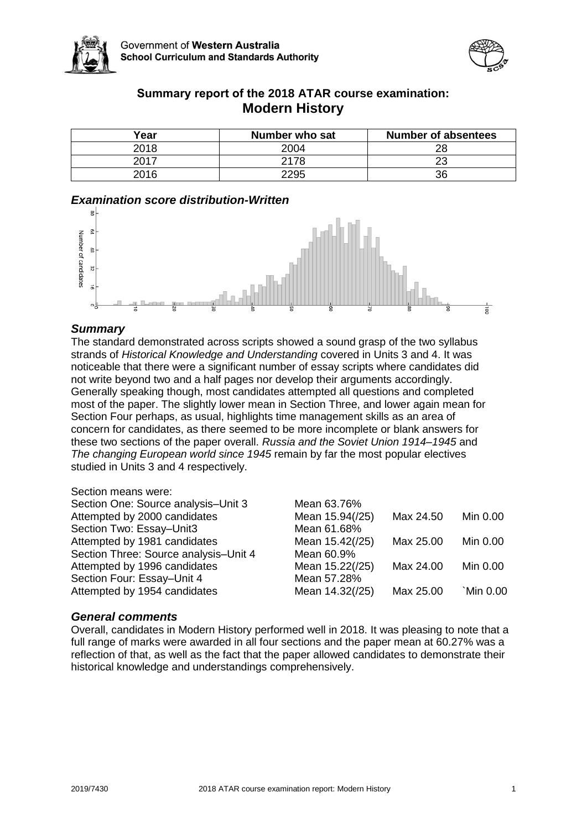



# **Summary report of the 2018 ATAR course examination: Modern History**

| Year | Number who sat | <b>Number of absentees</b> |
|------|----------------|----------------------------|
| 2018 | 2004           | 28                         |
| 2017 | 2178           | າາ                         |
| 2016 | 2295           | 36                         |

## *Examination score distribution-Written*



## *Summary*

The standard demonstrated across scripts showed a sound grasp of the two syllabus strands of *Historical Knowledge and Understanding* covered in Units 3 and 4. It was noticeable that there were a significant number of essay scripts where candidates did not write beyond two and a half pages nor develop their arguments accordingly. Generally speaking though, most candidates attempted all questions and completed most of the paper. The slightly lower mean in Section Three, and lower again mean for Section Four perhaps, as usual, highlights time management skills as an area of concern for candidates, as there seemed to be more incomplete or blank answers for these two sections of the paper overall. *Russia and the Soviet Union 1914–1945* and *The changing European world since 1945* remain by far the most popular electives studied in Units 3 and 4 respectively.

#### Section means were:

| Section One: Source analysis-Unit 3   | Mean 63.76%     |           |           |
|---------------------------------------|-----------------|-----------|-----------|
| Attempted by 2000 candidates          | Mean 15.94(/25) | Max 24.50 | Min 0.00  |
| Section Two: Essay-Unit3              | Mean 61.68%     |           |           |
| Attempted by 1981 candidates          | Mean 15.42(/25) | Max 25.00 | Min 0.00  |
| Section Three: Source analysis-Unit 4 | Mean 60.9%      |           |           |
| Attempted by 1996 candidates          | Mean 15.22(/25) | Max 24.00 | Min 0.00  |
| Section Four: Essay-Unit 4            | Mean 57.28%     |           |           |
| Attempted by 1954 candidates          | Mean 14.32(/25) | Max 25.00 | `Min 0.00 |
|                                       |                 |           |           |

#### *General comments*

Overall, candidates in Modern History performed well in 2018. It was pleasing to note that a full range of marks were awarded in all four sections and the paper mean at 60.27% was a reflection of that, as well as the fact that the paper allowed candidates to demonstrate their historical knowledge and understandings comprehensively.